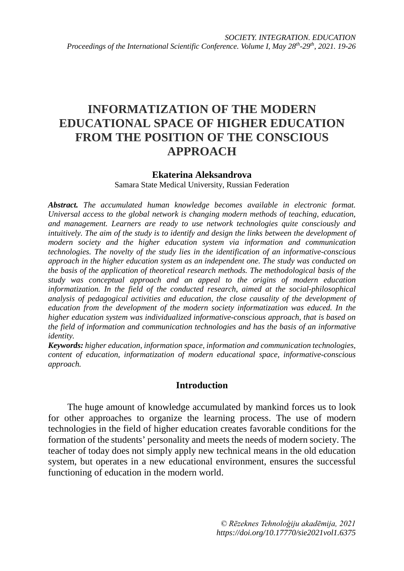# **INFORMATIZATION OF THE MODERN EDUCATIONAL SPACE OF HIGHER EDUCATION FROM THE POSITION OF THE CONSCIOUS APPROACH**

### **Ekaterina Aleksandrova**

Samara State Medical University, Russian Federation

*Abstract. The accumulated human knowledge becomes available in electronic format. Universal access to the global network is changing modern methods of teaching, education, and management. Learners are ready to use network technologies quite consciously and intuitively. The aim of the study is to identify and design the links between the development of modern society and the higher education system via information and communication technologies. The novelty of the study lies in the identification of an informative-conscious approach in the higher education system as an independent one. The study was conducted on the basis of the application of theoretical research methods. The methodological basis of the study was conceptual approach and an appeal to the origins of modern education informatization. In the field of the conducted research, aimed at the social-philosophical analysis of pedagogical activities and education, the close causality of the development of education from the development of the modern society informatization was educed. In the higher education system was individualized informative-conscious approach, that is based on the field of information and communication technologies and has the basis of an informative identity.*

*Keywords: higher education, information space, information and communication technologies, content of education, informatization of modern educational space, informative-conscious approach.*

## **Introduction**

The huge amount of knowledge accumulated by mankind forces us to look for other approaches to organize the learning process. The use of modern technologies in the field of higher education creates favorable conditions for the formation of the students' personality and meets the needs of modern society. The teacher of today does not simply apply new technical means in the old education system, but operates in a new educational environment, ensures the successful functioning of education in the modern world.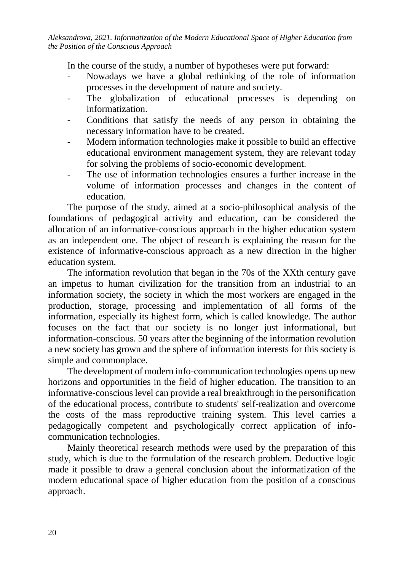In the course of the study, a number of hypotheses were put forward:

- Nowadays we have a global rethinking of the role of information processes in the development of nature and society.
- The globalization of educational processes is depending on informatization.
- Conditions that satisfy the needs of any person in obtaining the necessary information have to be created.
- Modern information technologies make it possible to build an effective educational environment management system, they are relevant today for solving the problems of socio-economic development.
- The use of information technologies ensures a further increase in the volume of information processes and changes in the content of education.

The purpose of the study, aimed at a socio-philosophical analysis of the foundations of pedagogical activity and education, can be considered the allocation of an informative-conscious approach in the higher education system as an independent one. The object of research is explaining the reason for the existence of informative-conscious approach as a new direction in the higher education system.

The information revolution that began in the 70s of the XXth century gave an impetus to human civilization for the transition from an industrial to an information society, the society in which the most workers are engaged in the production, storage, processing and implementation of all forms of the information, especially its highest form, which is called knowledge. The author focuses on the fact that our society is no longer just informational, but information-conscious. 50 years after the beginning of the information revolution a new society has grown and the sphere of information interests for this society is simple and commonplace.

The development of modern info-communication technologies opens up new horizons and opportunities in the field of higher education. The transition to an informative-conscious level can provide a real breakthrough in the personification of the educational process, contribute to students' self-realization and overcome the costs of the mass reproductive training system. This level carries a pedagogically competent and psychologically correct application of infocommunication technologies.

Mainly theoretical research methods were used by the preparation of this study, which is due to the formulation of the research problem. Deductive logic made it possible to draw a general conclusion about the informatization of the modern educational space of higher education from the position of a conscious approach.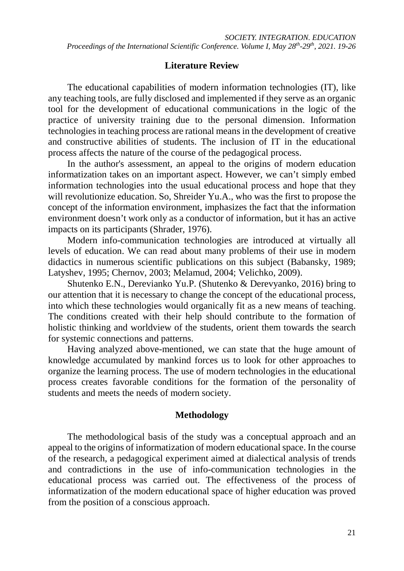# **Literature Review**

The educational capabilities of modern information technologies (IT), like any teaching tools, are fully disclosed and implemented if they serve as an organic tool for the development of educational communications in the logic of the practice of university training due to the personal dimension. Information technologies in teaching process are rational means in the development of creative and constructive abilities of students. The inclusion of IT in the educational process affects the nature of the course of the pedagogical process.

In the author's assessment, an appeal to the origins of modern education informatization takes on an important aspect. However, we can't simply embed information technologies into the usual educational process and hope that they will revolutionize education. So, Shreider Yu.A., who was the first to propose the concept of the information environment, imphasizes the fact that the information environment doesn't work only as a conductor of information, but it has an active impacts on its participants (Shrader, 1976).

Modern info-communication technologies are introduced at virtually all levels of education. We can read about many problems of their use in modern didactics in numerous scientific publications on this subject (Babansky, 1989; Latyshev, 1995; Chernov, 2003; Melamud, 2004; Velichko, 2009).

Shutenko E.N., Derevianko Yu.P. (Shutenko & Derevyanko, 2016) bring to our attention that it is necessary to change the concept of the educational process, into which these technologies would organically fit as a new means of teaching. The conditions created with their help should contribute to the formation of holistic thinking and worldview of the students, orient them towards the search for systemic connections and patterns.

Having analyzed [above-mentioned,](https://www.multitran.com/m.exe?s=abovementioned&l1=1&l2=2) we can state that the huge amount of knowledge accumulated by mankind forces us to look for other approaches to organize the learning process. The use of modern technologies in the educational process creates favorable conditions for the formation of the personality of students and meets the needs of modern society.

# **Methodology**

The methodological basis of the study was a conceptual approach and an appeal to the origins of informatization of modern educational space. In the course of the research, a pedagogical experiment aimed at dialectical analysis of trends and contradictions in the use of info-communication technologies in the educational process was carried out. The effectiveness of the process of informatization of the modern educational space of higher education was proved from the position of a conscious approach.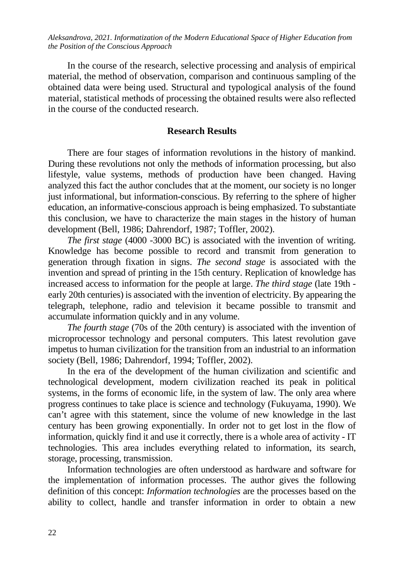In the course of the research, selective processing and analysis of empirical material, the method of observation, comparison and continuous sampling of the obtained data were being used. Structural and typological analysis of the found material, statistical methods of processing the obtained results were also reflected in the course of the conducted research.

#### **Research Results**

There are four stages of information revolutions in the history of mankind. During these revolutions not only the methods of information processing, but also lifestyle, value systems, methods of production have been changed. Having analyzed this fact the author concludes that at the moment, our society is no longer just informational, but information-conscious. By referring to the sphere of higher education, an informative-conscious approach is being emphasized. To substantiate this conclusion, we have to characterize the main stages in the history of human development (Bell, 1986; Dahrendorf, 1987; Toffler, 2002).

*The first stage* (4000 -3000 BC) is associated with the invention of writing. Knowledge has become possible to record and transmit from generation to generation through fixation in signs. *The second stage* is associated with the invention and spread of printing in the 15th century. Replication of knowledge has increased access to information for the people at large. *The third stage* (late 19th early 20th centuries) is associated with the invention of electricity. By appearing the telegraph, telephone, radio and television it became possible to transmit and accumulate information quickly and in any volume.

*The fourth stage* (70s of the 20th century) is associated with the invention of microprocessor technology and personal computers. This latest revolution gave impetus to human civilization for the transition from an industrial to an information society (Bell, 1986; Dahrendorf, 1994; Toffler, 2002).

In the era of the development of the human civilization and scientific and technological development, modern civilization reached its peak in political systems, in the forms of economic life, in the system of law. The only area where progress continues to take place is science and technology (Fukuyama, 1990). We can't agree with this statement, since the volume of new knowledge in the last century has been growing exponentially. In order not to get lost in the flow of information, quickly find it and use it correctly, there is a whole area of activity - IT technologies. This area includes everything related to information, its search, storage, processing, transmission.

Information technologies are often understood as hardware and software for the implementation of information processes. The author gives the following definition of this concept: *Information technologies* are the processes based on the ability to collect, handle and transfer information in order to obtain a new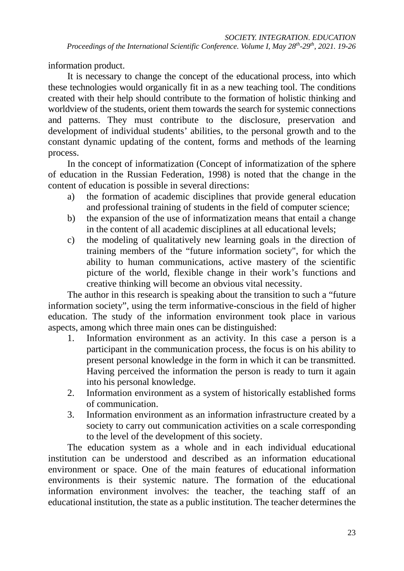information product.

It is necessary to change the concept of the educational process, into which these technologies would organically fit in as a new teaching tool. The conditions created with their help should contribute to the formation of holistic thinking and worldview of the students, orient them towards the search for systemic connections and patterns. They must contribute to the disclosure, preservation and development of individual students' abilities, to the personal growth and to the constant dynamic updating of the content, forms and methods of the learning process.

In the concept of informatization (Concept of informatization of the sphere of education in the Russian Federation, 1998) is noted that the change in the content of education is possible in several directions:

- a) the formation of academic disciplines that provide general education and professional training of students in the field of computer science;
- b) the expansion of the use of informatization means that entail a change in the content of all academic disciplines at all educational levels;
- c) the modeling of qualitatively new learning goals in the direction of training members of the "future information society", for which the ability to human communications, active mastery of the scientific picture of the world, flexible change in their work's functions and creative thinking will become an obvious vital necessity.

The author in this research is speaking about the transition to such a "future information society", using the term informative-conscious in the field of higher education. The study of the information environment took place in various aspects, among which three main ones can be distinguished:

- 1. Information environment as an activity. In this case a person is a participant in the communication process, the focus is on his ability to present personal knowledge in the form in which it can be transmitted. Having perceived the information the person is ready to turn it again into his personal knowledge.
- 2. Information environment as a system of historically established forms of communication.
- 3. Information environment as an information infrastructure created by a society to carry out communication activities on a scale corresponding to the level of the development of this society.

The education system as a whole and in each individual educational institution can be understood and described as an information educational environment or space. One of the main features of educational information environments is their systemic nature. The formation of the educational information environment involves: the teacher, the teaching staff of an educational institution, the state as a public institution. The teacher determines the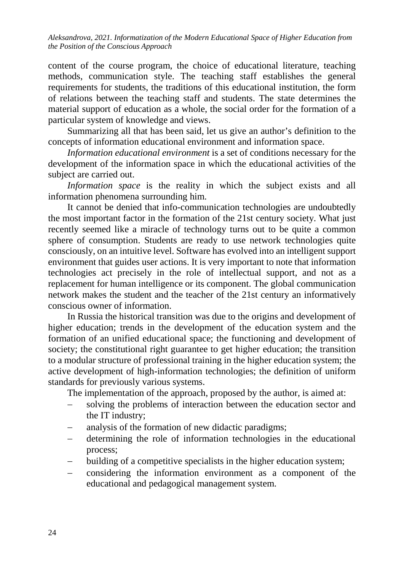content of the course program, the choice of educational literature, teaching methods, communication style. The teaching staff establishes the general requirements for students, the traditions of this educational institution, the form of relations between the teaching staff and students. The state determines the material support of education as a whole, the social order for the formation of a particular system of knowledge and views.

Summarizing all that has been said, let us give an author's definition to the concepts of information educational environment and information space.

*Information educational environment* is a set of conditions necessary for the development of the information space in which the educational activities of the subject are carried out.

*Information space* is the reality in which the subject exists and all information phenomena surrounding him.

It cannot be denied that info-communication technologies are undoubtedly the most important factor in the formation of the 21st century society. What just recently seemed like a miracle of technology turns out to be quite a common sphere of consumption. Students are ready to use network technologies quite consciously, on an intuitive level. Software has evolved into an intelligent support environment that guides user actions. It is very important to note that information technologies act precisely in the role of intellectual support, and not as a replacement for human intelligence or its component. The global communication network makes the student and the teacher of the 21st century an informatively conscious owner of information.

In Russia the historical transition was due to the origins and development of higher education; trends in the development of the education system and the formation of an unified educational space; the functioning and development of society; the constitutional right guarantee to get higher education; the transition to a modular structure of professional training in the higher education system; the active development of high-information technologies; the definition of uniform standards for previously various systems.

The implementation of the approach, proposed by the author, is aimed at:

- − solving the problems of interaction between the education sector and the IT industry;
- analysis of the formation of new didactic paradigms;
- − determining the role of information technologies in the educational process;
- building of a competitive specialists in the higher education system;
- − considering the information environment as a component of the educational and pedagogical management system.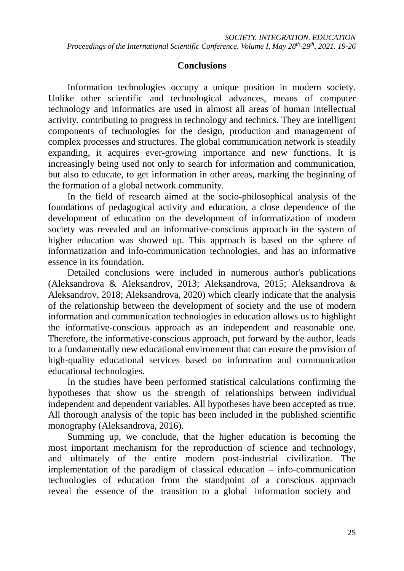# **Conclusions**

Information technologies occupy a unique position in modern society. Unlike other scientific and technological advances, means of computer technology and informatics are used in almost all areas of human intellectual activity, contributing to progress in technology and technics. They are intelligent components of technologies for the design, production and management of complex processes and structures. The global communication network is steadily expanding, it acquires ever-growing importance and new functions. It is increasingly being used not only to search for information and communication, but also to educate, to get information in other areas, marking the beginning of the formation of a global network community.

In the field of research aimed at the socio-philosophical analysis of the foundations of pedagogical activity and education, a close dependence of the development of education on the development of informatization of modern society was revealed and an informative-conscious approach in the system of higher education was showed up. This approach is based on the sphere of informatization and info-communication technologies, and has an informative essence in its foundation.

Detailed conclusions were included in numerous author's publications (Aleksandrova & Aleksandrov, 2013; Aleksandrova, 2015; Aleksandrova & Aleksandrov, 2018; Aleksandrova, 2020) which clearly indicate that the analysis of the relationship between the development of society and the use of modern information and communication technologies in education allows us to highlight the informative-conscious approach as an independent and reasonable one. Therefore, the informative-conscious approach, put forward by the author, leads to a fundamentally new educational environment that can ensure the provision of high-quality educational services based on information and communication educational technologies.

In the studies have been performed statistical calculations confirming the hypotheses that show us the strength of relationships between individual independent and dependent variables. All hypotheses have been accepted as true. All thorough analysis of the topic has been included in the published scientific monography (Aleksandrova, 2016).

Summing up, we conclude, that the higher education is becoming the most important mechanism for the reproduction of science and technology, and ultimately of the entire modern post-industrial civilization. The implementation of the paradigm of classical education – info-communication technologies of education from the standpoint of a conscious approach reveal the essence of the transition to a global information society and